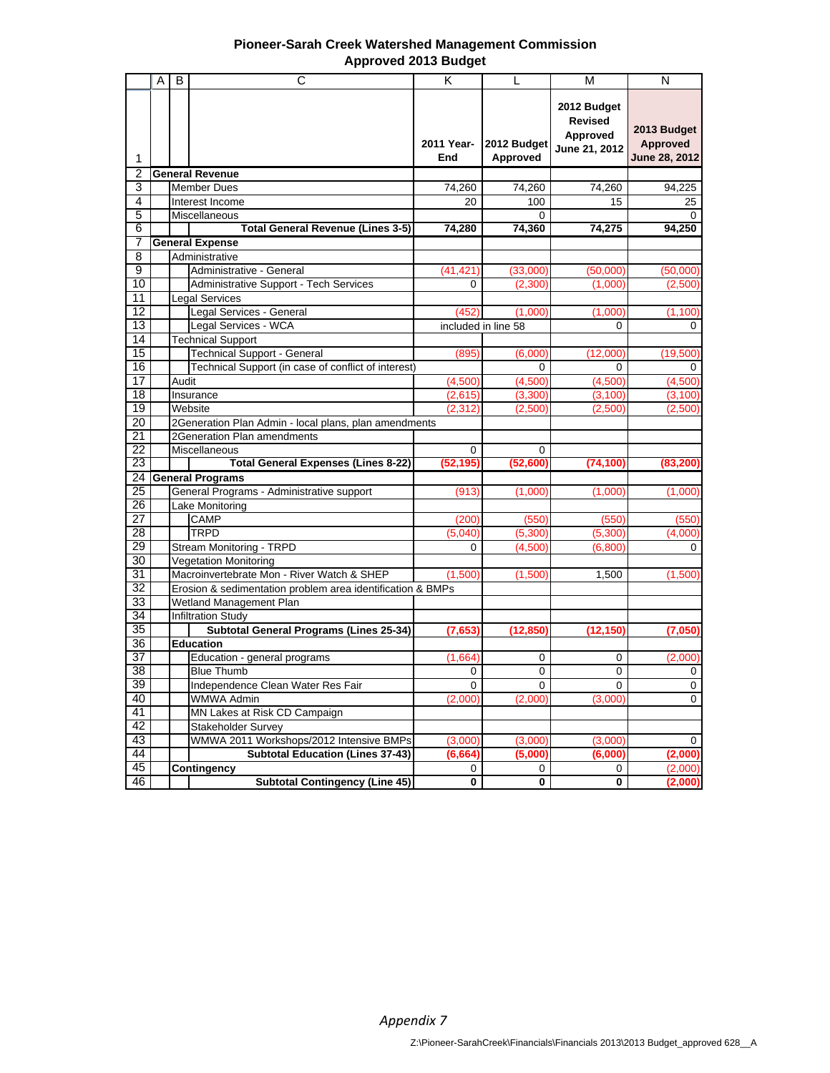| <b>Pioneer-Sarah Creek Watershed Management Commission</b> |
|------------------------------------------------------------|
| <b>Approved 2013 Budget</b>                                |

|                       | A | C<br>B                                                     | K                   | $\mathbf{L}$            | М                                                          | N                                               |
|-----------------------|---|------------------------------------------------------------|---------------------|-------------------------|------------------------------------------------------------|-------------------------------------------------|
| 1                     |   |                                                            | 2011 Year-<br>End   | 2012 Budget<br>Approved | 2012 Budget<br><b>Revised</b><br>Approved<br>June 21, 2012 | 2013 Budget<br>Approved<br><b>June 28, 2012</b> |
| 2                     |   | <b>General Revenue</b>                                     |                     |                         |                                                            |                                                 |
| 3                     |   | <b>Member Dues</b>                                         | 74,260              | 74,260                  | 74,260                                                     | 94,225                                          |
| 4                     |   | Interest Income                                            | 20                  | 100                     | 15                                                         | 25                                              |
| 5                     |   | Miscellaneous                                              |                     | 0                       |                                                            | $\Omega$                                        |
| 6                     |   | <b>Total General Revenue (Lines 3-5)</b>                   | 74,280              | 74,360                  | 74,275                                                     | 94,250                                          |
| 7                     |   | <b>General Expense</b>                                     |                     |                         |                                                            |                                                 |
| $\overline{8}$        |   | Administrative                                             |                     |                         |                                                            |                                                 |
| 9                     |   | Administrative - General                                   | (41, 421)           | (33,000)                | (50,000)                                                   | (50,000)                                        |
| 10                    |   | Administrative Support - Tech Services                     | $\mathbf 0$         | (2,300)                 | (1,000)                                                    | (2,500)                                         |
| 11                    |   | <b>Legal Services</b>                                      |                     |                         |                                                            |                                                 |
| $\overline{12}$       |   | Legal Services - General                                   | (452)               | (1,000)                 | (1,000)                                                    | (1, 100)                                        |
| 13                    |   | Legal Services - WCA                                       |                     | included in line 58     | 0                                                          | 0                                               |
| 14<br>$\overline{15}$ |   | <b>Technical Support</b>                                   |                     |                         |                                                            |                                                 |
| 16                    |   | <b>Technical Support - General</b>                         | (895)               | (6,000)                 | (12,000)                                                   | (19,500)                                        |
| 17                    |   | Technical Support (in case of conflict of interest)        |                     | 0                       | 0                                                          | 0                                               |
| $\overline{18}$       |   | Audit                                                      | (4,500)             | (4,500)                 | (4,500)                                                    | (4,500)                                         |
| 19                    |   | Insurance<br>Website                                       | (2,615)<br>(2, 312) | (3,300)<br>(2,500)      | (3, 100)<br>(2,500)                                        | (3, 100)<br>(2,500)                             |
| 20                    |   | 2Generation Plan Admin - local plans, plan amendments      |                     |                         |                                                            |                                                 |
| 21                    |   | 2Generation Plan amendments                                |                     |                         |                                                            |                                                 |
| $\overline{22}$       |   | Miscellaneous                                              | $\Omega$            | $\Omega$                |                                                            |                                                 |
| 23                    |   | <b>Total General Expenses (Lines 8-22)</b>                 | (52, 195)           | (52,600)                | (74, 100)                                                  | (83, 200)                                       |
| 24                    |   | <b>General Programs</b>                                    |                     |                         |                                                            |                                                 |
| $\overline{25}$       |   | General Programs - Administrative support                  | (913)               | (1,000)                 | (1,000)                                                    | (1,000)                                         |
| 26                    |   | Lake Monitoring                                            |                     |                         |                                                            |                                                 |
| 27                    |   | <b>CAMP</b>                                                | (200)               | (550)                   | (550)                                                      | (550)                                           |
| 28                    |   | <b>TRPD</b>                                                | (5,040)             | (5,300)                 | (5,300)                                                    | (4,000)                                         |
| 29                    |   | Stream Monitoring - TRPD                                   | $\Omega$            | (4,500)                 | (6,800)                                                    | $\Omega$                                        |
| 30                    |   | <b>Vegetation Monitoring</b>                               |                     |                         |                                                            |                                                 |
| 31                    |   | Macroinvertebrate Mon - River Watch & SHEP                 | (1,500)             | (1,500)                 | 1,500                                                      | (1,500)                                         |
| 32                    |   | Erosion & sedimentation problem area identification & BMPs |                     |                         |                                                            |                                                 |
| 33                    |   | Wetland Management Plan                                    |                     |                         |                                                            |                                                 |
| 34                    |   | <b>Infiltration Study</b>                                  |                     |                         |                                                            |                                                 |
| 35                    |   | Subtotal General Programs (Lines 25-34)                    | (7,653)             | (12, 850)               | (12, 150)                                                  | (7,050)                                         |
| 36                    |   | <b>Education</b>                                           |                     |                         |                                                            |                                                 |
| 37                    |   | Education - general programs                               | (1,664)             | 0                       | 0                                                          | (2,000)                                         |
| $\overline{38}$       |   | <b>Blue Thumb</b>                                          | 0                   | 0                       | 0                                                          | 0                                               |
| 39                    |   | Independence Clean Water Res Fair                          | 0                   | 0                       | 0                                                          | 0                                               |
| 40                    |   | WMWA Admin                                                 | (2,000)             | (2,000)                 | (3,000)                                                    | $\mathbf 0$                                     |
| 41                    |   | MN Lakes at Risk CD Campaign                               |                     |                         |                                                            |                                                 |
| 42                    |   | Stakeholder Survey                                         |                     |                         |                                                            |                                                 |
| 43                    |   | WMWA 2011 Workshops/2012 Intensive BMPs                    | (3,000)             | (3,000)                 | (3,000)                                                    | 0                                               |
| 44                    |   | <b>Subtotal Education (Lines 37-43)</b>                    | (6, 664)            | (5,000)                 | (6,000)                                                    | (2,000)                                         |
| 45                    |   | Contingency                                                | 0                   | 0                       | 0                                                          | (2,000)                                         |
| 46                    |   | <b>Subtotal Contingency (Line 45)</b>                      | $\mathbf 0$         | 0                       | 0                                                          | (2,000)                                         |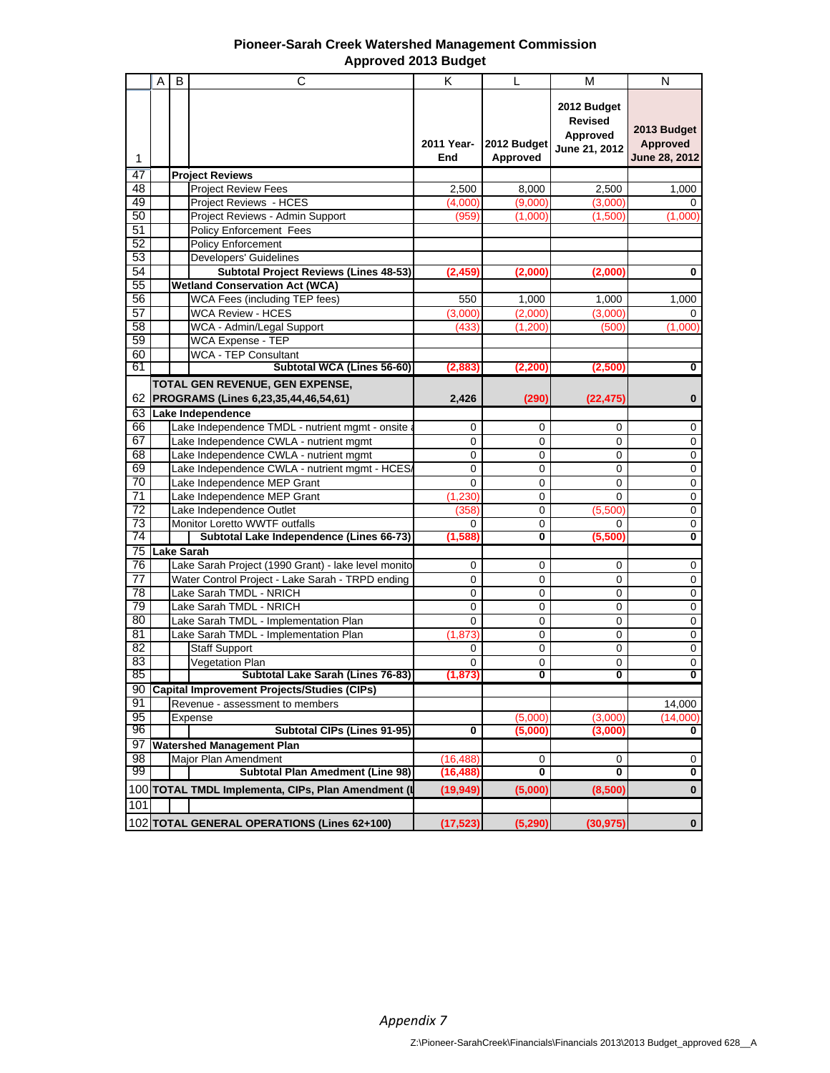| <b>Pioneer-Sarah Creek Watershed Management Commission</b> |
|------------------------------------------------------------|
| <b>Approved 2013 Budget</b>                                |

|                       | Α | C<br>B                                                                      | K                 | L                          | М                                                          | N                                               |
|-----------------------|---|-----------------------------------------------------------------------------|-------------------|----------------------------|------------------------------------------------------------|-------------------------------------------------|
| 1                     |   |                                                                             | 2011 Year-<br>End | 2012 Budget<br>Approved    | 2012 Budget<br><b>Revised</b><br>Approved<br>June 21, 2012 | 2013 Budget<br><b>Approved</b><br>June 28, 2012 |
| 47                    |   | <b>Project Reviews</b>                                                      |                   |                            |                                                            |                                                 |
| 48                    |   | <b>Project Review Fees</b>                                                  | 2,500             | 8,000                      | 2,500                                                      | 1,000                                           |
| 49                    |   | Project Reviews - HCES                                                      | (4,000)           | (9,000)                    | (3,000)                                                    | 0                                               |
| $\overline{50}$       |   | Project Reviews - Admin Support                                             | (959)             | (1,000)                    | (1,500)                                                    | (1,000)                                         |
| 51                    |   | <b>Policy Enforcement Fees</b>                                              |                   |                            |                                                            |                                                 |
| 52                    |   | <b>Policy Enforcement</b>                                                   |                   |                            |                                                            |                                                 |
| 53                    |   | <b>Developers' Guidelines</b>                                               |                   |                            |                                                            |                                                 |
| 54                    |   | <b>Subtotal Project Reviews (Lines 48-53)</b>                               | (2,459)           | (2,000)                    | (2,000                                                     | $\bf{0}$                                        |
| 55                    |   | <b>Wetland Conservation Act (WCA)</b>                                       |                   |                            |                                                            |                                                 |
| $\overline{56}$       |   | WCA Fees (including TEP fees)                                               | 550               | 1,000                      | 1,000                                                      | 1,000                                           |
| $\overline{57}$       |   | <b>WCA Review - HCES</b>                                                    | (3,000)           | (2,000)                    | (3,000)                                                    | 0                                               |
| 58                    |   | WCA - Admin/Legal Support                                                   | (433)             | (1,200)                    | (500)                                                      | (1,000)                                         |
| 59                    |   | WCA Expense - TEP                                                           |                   |                            |                                                            |                                                 |
| 60                    |   | <b>WCA - TEP Consultant</b>                                                 |                   |                            |                                                            |                                                 |
| 61                    |   | Subtotal WCA (Lines 56-60)                                                  | (2,883)           | (2, 200)                   | (2,500)                                                    | 0                                               |
|                       |   | TOTAL GEN REVENUE, GEN EXPENSE,                                             |                   |                            |                                                            |                                                 |
| 62                    |   | PROGRAMS (Lines 6,23,35,44,46,54,61)                                        | 2,426             | (290)                      | (22, 475)                                                  | $\bf{0}$                                        |
| 63                    |   | Lake Independence                                                           |                   |                            |                                                            |                                                 |
| 66                    |   | Lake Independence TMDL - nutrient mgmt - onsite                             | 0                 | $\mathbf 0$                | $\mathbf 0$                                                | 0                                               |
| 67                    |   | Lake Independence CWLA - nutrient mgmt                                      | 0                 | 0                          | 0                                                          | 0                                               |
| 68                    |   | Lake Independence CWLA - nutrient mgmt                                      | 0                 | 0                          | 0                                                          | 0                                               |
| 69                    |   | Lake Independence CWLA - nutrient mgmt - HCES/                              | 0                 | $\mathbf 0$                | 0                                                          | $\pmb{0}$                                       |
| 70                    |   | Lake Independence MEP Grant                                                 | $\mathbf{0}$      | $\mathbf 0$                | $\Omega$                                                   | $\overline{0}$                                  |
| $\overline{71}$       |   | Lake Independence MEP Grant                                                 | (1, 230)          | $\mathbf 0$                | $\Omega$                                                   | $\pmb{0}$                                       |
| $\overline{72}$       |   | Lake Independence Outlet                                                    | (358)             | 0                          | (5,500)                                                    | 0                                               |
| 73<br>74              |   | Monitor Loretto WWTF outfalls<br>Subtotal Lake Independence (Lines 66-73)   | 0                 | 0<br>0                     | 0                                                          | $\overline{0}$<br>$\overline{\mathbf{0}}$       |
|                       |   |                                                                             | (1, 588)          |                            | (5,500)                                                    |                                                 |
| 75<br>$\overline{76}$ |   | <b>Lake Sarah</b>                                                           |                   |                            |                                                            |                                                 |
| 77                    |   | Lake Sarah Project (1990 Grant) - lake level monito                         | 0<br>0            | $\mathbf 0$<br>$\mathbf 0$ | 0<br>0                                                     | 0<br>0                                          |
| 78                    |   | Water Control Project - Lake Sarah - TRPD ending<br>Lake Sarah TMDL - NRICH | 0                 | 0                          | 0                                                          | $\mathbf 0$                                     |
| $\overline{79}$       |   | Lake Sarah TMDL - NRICH                                                     | 0                 | $\mathbf 0$                | 0                                                          | $\pmb{0}$                                       |
| 80                    |   | Lake Sarah TMDL - Implementation Plan                                       | $\mathbf{0}$      | $\mathbf 0$                | 0                                                          | $\overline{0}$                                  |
| 81                    |   | Lake Sarah TMDL - Implementation Plan                                       | (1, 873)          | 0                          | 0                                                          | $\pmb{0}$                                       |
| $\overline{82}$       |   | <b>Staff Support</b>                                                        | 0                 | 0                          | 0                                                          | 0                                               |
| 83                    |   | Vegetation Plan                                                             | 0                 | 0                          | 0                                                          | $\overline{0}$                                  |
| 85                    |   | Subtotal Lake Sarah (Lines 76-83)                                           | (1.873)           | $\overline{\mathfrak{o}}$  | $\overline{\mathbf{0}}$                                    | $\overline{\mathbf{0}}$                         |
| 90                    |   | <b>Capital Improvement Projects/Studies (CIPs)</b>                          |                   |                            |                                                            |                                                 |
| 91                    |   | Revenue - assessment to members                                             |                   |                            |                                                            | 14,000                                          |
| 95                    |   | Expense                                                                     |                   | (5,000)                    | (3,000)                                                    | (14,000)                                        |
| 96                    |   | <b>Subtotal CIPs (Lines 91-95)</b>                                          | 0                 | (5,000)                    | (3,000)                                                    | 0                                               |
| 97                    |   | <b>Watershed Management Plan</b>                                            |                   |                            |                                                            |                                                 |
| 98                    |   | Major Plan Amendment                                                        | (16, 488)         | 0                          | 0                                                          | 0                                               |
| 99                    |   | <b>Subtotal Plan Amedment (Line 98)</b>                                     | (16, 488)         | 0                          | 0                                                          | $\overline{\mathbf{0}}$                         |
|                       |   | 100 TOTAL TMDL Implementa, CIPs, Plan Amendment (I                          | (19, 949)         | (5,000)                    | (8,500)                                                    | $\pmb{0}$                                       |
| 101                   |   |                                                                             |                   |                            |                                                            |                                                 |
|                       |   | 102 TOTAL GENERAL OPERATIONS (Lines 62+100)                                 | (17, 523)         | (5, 290)                   | (30, 975)                                                  | $\mathbf 0$                                     |
|                       |   |                                                                             |                   |                            |                                                            |                                                 |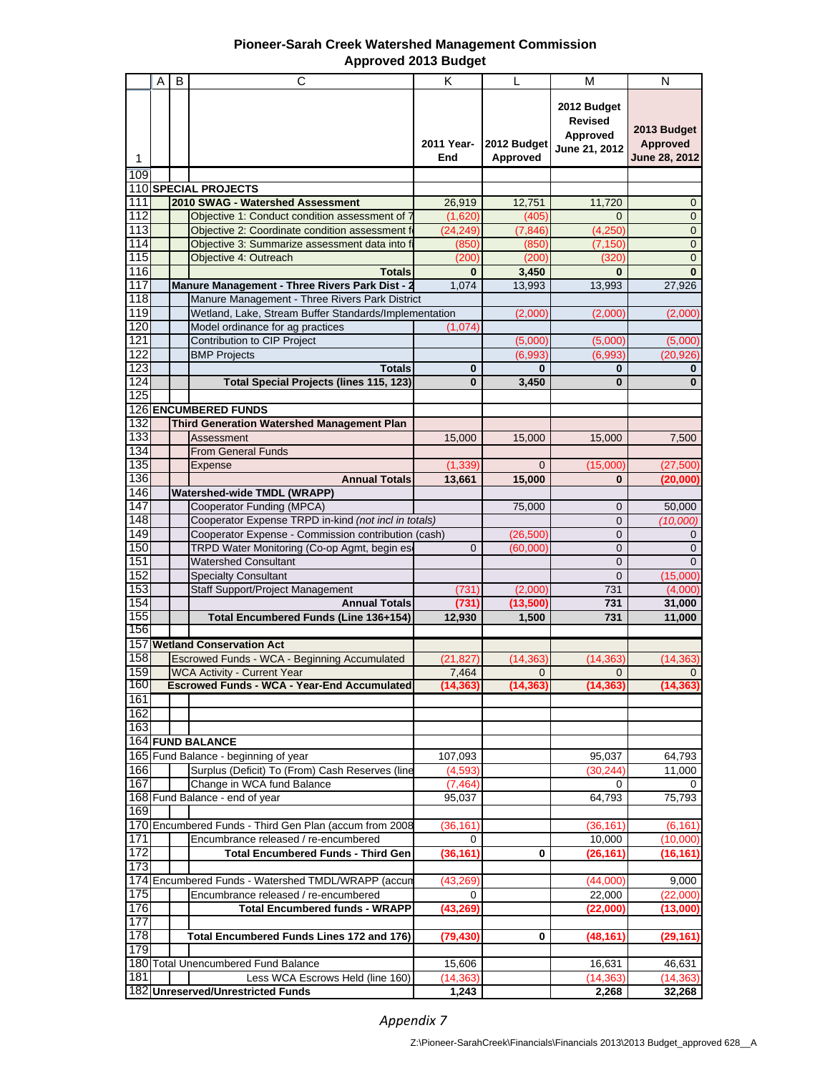## **Pioneer-Sarah Creek Watershed Management Commission Approved 2013 Budget**

| 2012 Budget<br><b>Revised</b><br>2013 Budget<br>Approved<br>2011 Year-<br>2012 Budget<br>Approved<br>June 21, 2012<br>June 28, 2012<br>Approved<br>End<br>1<br>109<br>110 SPECIAL PROJECTS<br>111<br>2010 SWAG - Watershed Assessment<br>12,751<br>11,720<br>26,919<br>$\mathbf 0$<br>112<br>$\mathbf{0}$<br>Objective 1: Conduct condition assessment of 7<br>(1,620)<br>(405)<br>$\Omega$<br>113<br>Objective 2: Coordinate condition assessment f<br>$\mathbf 0$<br>(24, 249)<br>(7, 846)<br>(4, 250)<br>114<br>$\mathbf{0}$<br>Objective 3: Summarize assessment data into f<br>(850)<br>(7, 150)<br>(850)<br>115<br>$\mathbf 0$<br>Objective 4: Outreach<br>(200)<br>(200)<br>(320)<br>116<br>3,450<br>$\bf{0}$<br><b>Totals</b><br>$\bf{0}$<br>$\bf{0}$<br>117<br>1,074<br>Manure Management - Three Rivers Park Dist - 2<br>13,993<br>13,993<br>27,926<br>118<br>Manure Management - Three Rivers Park District<br>119<br>Wetland, Lake, Stream Buffer Standards/Implementation<br>(2,000)<br>(2,000)<br>(2,000)<br>120<br>(1,074)<br>Model ordinance for ag practices<br>121<br>Contribution to CIP Project<br>(5,000)<br>(5,000)<br>(5,000)<br>122<br><b>BMP Projects</b><br>(6,993)<br>(20, 926)<br>(6.993)<br>123<br>$\bf{0}$<br><b>Totals</b><br>$\mathbf{0}$<br>$\bf{0}$<br>$\mathbf{0}$<br>124<br><b>Total Special Projects (lines 115, 123)</b><br>$\bf{0}$<br>3,450<br>$\bf{0}$<br>$\bf{0}$<br>125<br>126 ENCUMBERED FUNDS<br>132<br><b>Third Generation Watershed Management Plan</b><br>133<br>Assessment<br>15,000<br>15,000<br>15,000<br>7,500<br>134<br><b>From General Funds</b><br>135<br>(1, 339)<br>(15,000)<br>Expense<br>$\Omega$<br>(27, 500)<br>136<br><b>Annual Totals</b><br>15,000<br>13,661<br>$\bf{0}$<br>(20,000)<br>146<br><b>Watershed-wide TMDL (WRAPP)</b><br>147<br>Cooperator Funding (MPCA)<br>75,000<br>$\mathbf 0$<br>50,000<br>Cooperator Expense TRPD in-kind (not incl in totals)<br>148<br>$\Omega$<br>(10,000)<br>149<br>Cooperator Expense - Commission contribution (cash)<br>$\mathbf{0}$<br>(26, 500)<br>$\mathbf 0$<br>150<br>$\overline{0}$<br>$\Omega$<br>$\mathbf{0}$<br>TRPD Water Monitoring (Co-op Agmt, begin es<br>(60,000)<br>151<br><b>Watershed Consultant</b><br>0<br>$\Omega$<br>152<br><b>Specialty Consultant</b><br>$\mathbf 0$<br>(15,000)<br>153<br>Staff Support/Project Management<br>(731)<br>(2,000)<br>731<br>(4,000)<br>154<br><b>Annual Totals</b><br>(731)<br>(13,500)<br>731<br>31,000<br>155<br>Total Encumbered Funds (Line 136+154)<br>731<br>11,000<br>12,930<br>1,500<br>156<br>157<br><b>Wetland Conservation Act</b><br>158<br>Escrowed Funds - WCA - Beginning Accumulated<br>(21, 827)<br>(14, 363)<br>(14, 363)<br>(14, 363)<br>159<br><b>WCA Activity - Current Year</b><br>7,464<br>$\mathbf{0}$<br>$\mathbf{0}$<br>$\mathbf{0}$<br>160<br><b>Escrowed Funds - WCA - Year-End Accumulated</b><br>(14, 363)<br>(14, 363)<br>(14, 363)<br>(14, 363)<br>161<br>162<br>163<br>164 FUND BALANCE<br>165 Fund Balance - beginning of year<br>95,037<br>64,793<br>107,093<br>166<br>Surplus (Deficit) To (From) Cash Reserves (line<br>11,000<br>(4,593)<br>(30,244)<br>167<br>Change in WCA fund Balance<br>(7, 464)<br>0<br>0<br>168 Fund Balance - end of year<br>64,793<br>75,793<br>95.037<br>169<br>170 Encumbered Funds - Third Gen Plan (accum from 2008<br>(36, 161)<br>(6, 161)<br>(36, 161)<br>171<br>Encumbrance released / re-encumbered<br>10,000<br>$\Omega$<br>(10,000)<br>172<br><b>Total Encumbered Funds - Third Gen</b><br>(36, 161)<br>0<br>(26,161)<br>(16,161)<br>173<br>174 Encumbered Funds - Watershed TMDL/WRAPP (accun<br>(43,269)<br>(44,000)<br>9,000<br>175<br>Encumbrance released / re-encumbered<br>22,000<br>(22,000)<br>0<br>176<br><b>Total Encumbered funds - WRAPP</b><br>(43,269)<br>(22,000)<br>(13,000)<br>177<br>178<br>Total Encumbered Funds Lines 172 and 176)<br>(79,430)<br>0<br>(48,161)<br>(29,161)<br>179<br>180 Total Unencumbered Fund Balance<br>15,606<br>16,631<br>46,631<br>181<br>Less WCA Escrows Held (line 160)<br>(14, 363)<br>(14, 363)<br>(14, 363)<br>182 Unreserved/Unrestricted Funds<br>1,243<br>2,268<br>32,268 | $\mathsf{A}$ | B | C | K | L | М | N |
|---------------------------------------------------------------------------------------------------------------------------------------------------------------------------------------------------------------------------------------------------------------------------------------------------------------------------------------------------------------------------------------------------------------------------------------------------------------------------------------------------------------------------------------------------------------------------------------------------------------------------------------------------------------------------------------------------------------------------------------------------------------------------------------------------------------------------------------------------------------------------------------------------------------------------------------------------------------------------------------------------------------------------------------------------------------------------------------------------------------------------------------------------------------------------------------------------------------------------------------------------------------------------------------------------------------------------------------------------------------------------------------------------------------------------------------------------------------------------------------------------------------------------------------------------------------------------------------------------------------------------------------------------------------------------------------------------------------------------------------------------------------------------------------------------------------------------------------------------------------------------------------------------------------------------------------------------------------------------------------------------------------------------------------------------------------------------------------------------------------------------------------------------------------------------------------------------------------------------------------------------------------------------------------------------------------------------------------------------------------------------------------------------------------------------------------------------------------------------------------------------------------------------------------------------------------------------------------------------------------------------------------------------------------------------------------------------------------------------------------------------------------------------------------------------------------------------------------------------------------------------------------------------------------------------------------------------------------------------------------------------------------------------------------------------------------------------------------------------------------------------------------------------------------------------------------------------------------------------------------------------------------------------------------------------------------------------------------------------------------------------------------------------------------------------------------------------------------------------------------------------------------------------------------------------------------------------------------------------------------------------------------------------------------------------------------------------------------------------------------------------------------------------------------------------------------------------------------------------------------------------------------------------------------------------------------------------------------------------------------------------------------------------------------------------------------------------------------------------------------------------------------------------------------------------|--------------|---|---|---|---|---|---|
|                                                                                                                                                                                                                                                                                                                                                                                                                                                                                                                                                                                                                                                                                                                                                                                                                                                                                                                                                                                                                                                                                                                                                                                                                                                                                                                                                                                                                                                                                                                                                                                                                                                                                                                                                                                                                                                                                                                                                                                                                                                                                                                                                                                                                                                                                                                                                                                                                                                                                                                                                                                                                                                                                                                                                                                                                                                                                                                                                                                                                                                                                                                                                                                                                                                                                                                                                                                                                                                                                                                                                                                                                                                                                                                                                                                                                                                                                                                                                                                                                                                                                                                                                                           |              |   |   |   |   |   |   |
|                                                                                                                                                                                                                                                                                                                                                                                                                                                                                                                                                                                                                                                                                                                                                                                                                                                                                                                                                                                                                                                                                                                                                                                                                                                                                                                                                                                                                                                                                                                                                                                                                                                                                                                                                                                                                                                                                                                                                                                                                                                                                                                                                                                                                                                                                                                                                                                                                                                                                                                                                                                                                                                                                                                                                                                                                                                                                                                                                                                                                                                                                                                                                                                                                                                                                                                                                                                                                                                                                                                                                                                                                                                                                                                                                                                                                                                                                                                                                                                                                                                                                                                                                                           |              |   |   |   |   |   |   |
|                                                                                                                                                                                                                                                                                                                                                                                                                                                                                                                                                                                                                                                                                                                                                                                                                                                                                                                                                                                                                                                                                                                                                                                                                                                                                                                                                                                                                                                                                                                                                                                                                                                                                                                                                                                                                                                                                                                                                                                                                                                                                                                                                                                                                                                                                                                                                                                                                                                                                                                                                                                                                                                                                                                                                                                                                                                                                                                                                                                                                                                                                                                                                                                                                                                                                                                                                                                                                                                                                                                                                                                                                                                                                                                                                                                                                                                                                                                                                                                                                                                                                                                                                                           |              |   |   |   |   |   |   |
|                                                                                                                                                                                                                                                                                                                                                                                                                                                                                                                                                                                                                                                                                                                                                                                                                                                                                                                                                                                                                                                                                                                                                                                                                                                                                                                                                                                                                                                                                                                                                                                                                                                                                                                                                                                                                                                                                                                                                                                                                                                                                                                                                                                                                                                                                                                                                                                                                                                                                                                                                                                                                                                                                                                                                                                                                                                                                                                                                                                                                                                                                                                                                                                                                                                                                                                                                                                                                                                                                                                                                                                                                                                                                                                                                                                                                                                                                                                                                                                                                                                                                                                                                                           |              |   |   |   |   |   |   |
|                                                                                                                                                                                                                                                                                                                                                                                                                                                                                                                                                                                                                                                                                                                                                                                                                                                                                                                                                                                                                                                                                                                                                                                                                                                                                                                                                                                                                                                                                                                                                                                                                                                                                                                                                                                                                                                                                                                                                                                                                                                                                                                                                                                                                                                                                                                                                                                                                                                                                                                                                                                                                                                                                                                                                                                                                                                                                                                                                                                                                                                                                                                                                                                                                                                                                                                                                                                                                                                                                                                                                                                                                                                                                                                                                                                                                                                                                                                                                                                                                                                                                                                                                                           |              |   |   |   |   |   |   |
|                                                                                                                                                                                                                                                                                                                                                                                                                                                                                                                                                                                                                                                                                                                                                                                                                                                                                                                                                                                                                                                                                                                                                                                                                                                                                                                                                                                                                                                                                                                                                                                                                                                                                                                                                                                                                                                                                                                                                                                                                                                                                                                                                                                                                                                                                                                                                                                                                                                                                                                                                                                                                                                                                                                                                                                                                                                                                                                                                                                                                                                                                                                                                                                                                                                                                                                                                                                                                                                                                                                                                                                                                                                                                                                                                                                                                                                                                                                                                                                                                                                                                                                                                                           |              |   |   |   |   |   |   |
|                                                                                                                                                                                                                                                                                                                                                                                                                                                                                                                                                                                                                                                                                                                                                                                                                                                                                                                                                                                                                                                                                                                                                                                                                                                                                                                                                                                                                                                                                                                                                                                                                                                                                                                                                                                                                                                                                                                                                                                                                                                                                                                                                                                                                                                                                                                                                                                                                                                                                                                                                                                                                                                                                                                                                                                                                                                                                                                                                                                                                                                                                                                                                                                                                                                                                                                                                                                                                                                                                                                                                                                                                                                                                                                                                                                                                                                                                                                                                                                                                                                                                                                                                                           |              |   |   |   |   |   |   |
|                                                                                                                                                                                                                                                                                                                                                                                                                                                                                                                                                                                                                                                                                                                                                                                                                                                                                                                                                                                                                                                                                                                                                                                                                                                                                                                                                                                                                                                                                                                                                                                                                                                                                                                                                                                                                                                                                                                                                                                                                                                                                                                                                                                                                                                                                                                                                                                                                                                                                                                                                                                                                                                                                                                                                                                                                                                                                                                                                                                                                                                                                                                                                                                                                                                                                                                                                                                                                                                                                                                                                                                                                                                                                                                                                                                                                                                                                                                                                                                                                                                                                                                                                                           |              |   |   |   |   |   |   |
|                                                                                                                                                                                                                                                                                                                                                                                                                                                                                                                                                                                                                                                                                                                                                                                                                                                                                                                                                                                                                                                                                                                                                                                                                                                                                                                                                                                                                                                                                                                                                                                                                                                                                                                                                                                                                                                                                                                                                                                                                                                                                                                                                                                                                                                                                                                                                                                                                                                                                                                                                                                                                                                                                                                                                                                                                                                                                                                                                                                                                                                                                                                                                                                                                                                                                                                                                                                                                                                                                                                                                                                                                                                                                                                                                                                                                                                                                                                                                                                                                                                                                                                                                                           |              |   |   |   |   |   |   |
|                                                                                                                                                                                                                                                                                                                                                                                                                                                                                                                                                                                                                                                                                                                                                                                                                                                                                                                                                                                                                                                                                                                                                                                                                                                                                                                                                                                                                                                                                                                                                                                                                                                                                                                                                                                                                                                                                                                                                                                                                                                                                                                                                                                                                                                                                                                                                                                                                                                                                                                                                                                                                                                                                                                                                                                                                                                                                                                                                                                                                                                                                                                                                                                                                                                                                                                                                                                                                                                                                                                                                                                                                                                                                                                                                                                                                                                                                                                                                                                                                                                                                                                                                                           |              |   |   |   |   |   |   |
|                                                                                                                                                                                                                                                                                                                                                                                                                                                                                                                                                                                                                                                                                                                                                                                                                                                                                                                                                                                                                                                                                                                                                                                                                                                                                                                                                                                                                                                                                                                                                                                                                                                                                                                                                                                                                                                                                                                                                                                                                                                                                                                                                                                                                                                                                                                                                                                                                                                                                                                                                                                                                                                                                                                                                                                                                                                                                                                                                                                                                                                                                                                                                                                                                                                                                                                                                                                                                                                                                                                                                                                                                                                                                                                                                                                                                                                                                                                                                                                                                                                                                                                                                                           |              |   |   |   |   |   |   |
|                                                                                                                                                                                                                                                                                                                                                                                                                                                                                                                                                                                                                                                                                                                                                                                                                                                                                                                                                                                                                                                                                                                                                                                                                                                                                                                                                                                                                                                                                                                                                                                                                                                                                                                                                                                                                                                                                                                                                                                                                                                                                                                                                                                                                                                                                                                                                                                                                                                                                                                                                                                                                                                                                                                                                                                                                                                                                                                                                                                                                                                                                                                                                                                                                                                                                                                                                                                                                                                                                                                                                                                                                                                                                                                                                                                                                                                                                                                                                                                                                                                                                                                                                                           |              |   |   |   |   |   |   |
|                                                                                                                                                                                                                                                                                                                                                                                                                                                                                                                                                                                                                                                                                                                                                                                                                                                                                                                                                                                                                                                                                                                                                                                                                                                                                                                                                                                                                                                                                                                                                                                                                                                                                                                                                                                                                                                                                                                                                                                                                                                                                                                                                                                                                                                                                                                                                                                                                                                                                                                                                                                                                                                                                                                                                                                                                                                                                                                                                                                                                                                                                                                                                                                                                                                                                                                                                                                                                                                                                                                                                                                                                                                                                                                                                                                                                                                                                                                                                                                                                                                                                                                                                                           |              |   |   |   |   |   |   |
|                                                                                                                                                                                                                                                                                                                                                                                                                                                                                                                                                                                                                                                                                                                                                                                                                                                                                                                                                                                                                                                                                                                                                                                                                                                                                                                                                                                                                                                                                                                                                                                                                                                                                                                                                                                                                                                                                                                                                                                                                                                                                                                                                                                                                                                                                                                                                                                                                                                                                                                                                                                                                                                                                                                                                                                                                                                                                                                                                                                                                                                                                                                                                                                                                                                                                                                                                                                                                                                                                                                                                                                                                                                                                                                                                                                                                                                                                                                                                                                                                                                                                                                                                                           |              |   |   |   |   |   |   |
|                                                                                                                                                                                                                                                                                                                                                                                                                                                                                                                                                                                                                                                                                                                                                                                                                                                                                                                                                                                                                                                                                                                                                                                                                                                                                                                                                                                                                                                                                                                                                                                                                                                                                                                                                                                                                                                                                                                                                                                                                                                                                                                                                                                                                                                                                                                                                                                                                                                                                                                                                                                                                                                                                                                                                                                                                                                                                                                                                                                                                                                                                                                                                                                                                                                                                                                                                                                                                                                                                                                                                                                                                                                                                                                                                                                                                                                                                                                                                                                                                                                                                                                                                                           |              |   |   |   |   |   |   |
|                                                                                                                                                                                                                                                                                                                                                                                                                                                                                                                                                                                                                                                                                                                                                                                                                                                                                                                                                                                                                                                                                                                                                                                                                                                                                                                                                                                                                                                                                                                                                                                                                                                                                                                                                                                                                                                                                                                                                                                                                                                                                                                                                                                                                                                                                                                                                                                                                                                                                                                                                                                                                                                                                                                                                                                                                                                                                                                                                                                                                                                                                                                                                                                                                                                                                                                                                                                                                                                                                                                                                                                                                                                                                                                                                                                                                                                                                                                                                                                                                                                                                                                                                                           |              |   |   |   |   |   |   |
|                                                                                                                                                                                                                                                                                                                                                                                                                                                                                                                                                                                                                                                                                                                                                                                                                                                                                                                                                                                                                                                                                                                                                                                                                                                                                                                                                                                                                                                                                                                                                                                                                                                                                                                                                                                                                                                                                                                                                                                                                                                                                                                                                                                                                                                                                                                                                                                                                                                                                                                                                                                                                                                                                                                                                                                                                                                                                                                                                                                                                                                                                                                                                                                                                                                                                                                                                                                                                                                                                                                                                                                                                                                                                                                                                                                                                                                                                                                                                                                                                                                                                                                                                                           |              |   |   |   |   |   |   |
|                                                                                                                                                                                                                                                                                                                                                                                                                                                                                                                                                                                                                                                                                                                                                                                                                                                                                                                                                                                                                                                                                                                                                                                                                                                                                                                                                                                                                                                                                                                                                                                                                                                                                                                                                                                                                                                                                                                                                                                                                                                                                                                                                                                                                                                                                                                                                                                                                                                                                                                                                                                                                                                                                                                                                                                                                                                                                                                                                                                                                                                                                                                                                                                                                                                                                                                                                                                                                                                                                                                                                                                                                                                                                                                                                                                                                                                                                                                                                                                                                                                                                                                                                                           |              |   |   |   |   |   |   |
|                                                                                                                                                                                                                                                                                                                                                                                                                                                                                                                                                                                                                                                                                                                                                                                                                                                                                                                                                                                                                                                                                                                                                                                                                                                                                                                                                                                                                                                                                                                                                                                                                                                                                                                                                                                                                                                                                                                                                                                                                                                                                                                                                                                                                                                                                                                                                                                                                                                                                                                                                                                                                                                                                                                                                                                                                                                                                                                                                                                                                                                                                                                                                                                                                                                                                                                                                                                                                                                                                                                                                                                                                                                                                                                                                                                                                                                                                                                                                                                                                                                                                                                                                                           |              |   |   |   |   |   |   |
|                                                                                                                                                                                                                                                                                                                                                                                                                                                                                                                                                                                                                                                                                                                                                                                                                                                                                                                                                                                                                                                                                                                                                                                                                                                                                                                                                                                                                                                                                                                                                                                                                                                                                                                                                                                                                                                                                                                                                                                                                                                                                                                                                                                                                                                                                                                                                                                                                                                                                                                                                                                                                                                                                                                                                                                                                                                                                                                                                                                                                                                                                                                                                                                                                                                                                                                                                                                                                                                                                                                                                                                                                                                                                                                                                                                                                                                                                                                                                                                                                                                                                                                                                                           |              |   |   |   |   |   |   |
|                                                                                                                                                                                                                                                                                                                                                                                                                                                                                                                                                                                                                                                                                                                                                                                                                                                                                                                                                                                                                                                                                                                                                                                                                                                                                                                                                                                                                                                                                                                                                                                                                                                                                                                                                                                                                                                                                                                                                                                                                                                                                                                                                                                                                                                                                                                                                                                                                                                                                                                                                                                                                                                                                                                                                                                                                                                                                                                                                                                                                                                                                                                                                                                                                                                                                                                                                                                                                                                                                                                                                                                                                                                                                                                                                                                                                                                                                                                                                                                                                                                                                                                                                                           |              |   |   |   |   |   |   |
|                                                                                                                                                                                                                                                                                                                                                                                                                                                                                                                                                                                                                                                                                                                                                                                                                                                                                                                                                                                                                                                                                                                                                                                                                                                                                                                                                                                                                                                                                                                                                                                                                                                                                                                                                                                                                                                                                                                                                                                                                                                                                                                                                                                                                                                                                                                                                                                                                                                                                                                                                                                                                                                                                                                                                                                                                                                                                                                                                                                                                                                                                                                                                                                                                                                                                                                                                                                                                                                                                                                                                                                                                                                                                                                                                                                                                                                                                                                                                                                                                                                                                                                                                                           |              |   |   |   |   |   |   |
|                                                                                                                                                                                                                                                                                                                                                                                                                                                                                                                                                                                                                                                                                                                                                                                                                                                                                                                                                                                                                                                                                                                                                                                                                                                                                                                                                                                                                                                                                                                                                                                                                                                                                                                                                                                                                                                                                                                                                                                                                                                                                                                                                                                                                                                                                                                                                                                                                                                                                                                                                                                                                                                                                                                                                                                                                                                                                                                                                                                                                                                                                                                                                                                                                                                                                                                                                                                                                                                                                                                                                                                                                                                                                                                                                                                                                                                                                                                                                                                                                                                                                                                                                                           |              |   |   |   |   |   |   |
|                                                                                                                                                                                                                                                                                                                                                                                                                                                                                                                                                                                                                                                                                                                                                                                                                                                                                                                                                                                                                                                                                                                                                                                                                                                                                                                                                                                                                                                                                                                                                                                                                                                                                                                                                                                                                                                                                                                                                                                                                                                                                                                                                                                                                                                                                                                                                                                                                                                                                                                                                                                                                                                                                                                                                                                                                                                                                                                                                                                                                                                                                                                                                                                                                                                                                                                                                                                                                                                                                                                                                                                                                                                                                                                                                                                                                                                                                                                                                                                                                                                                                                                                                                           |              |   |   |   |   |   |   |
|                                                                                                                                                                                                                                                                                                                                                                                                                                                                                                                                                                                                                                                                                                                                                                                                                                                                                                                                                                                                                                                                                                                                                                                                                                                                                                                                                                                                                                                                                                                                                                                                                                                                                                                                                                                                                                                                                                                                                                                                                                                                                                                                                                                                                                                                                                                                                                                                                                                                                                                                                                                                                                                                                                                                                                                                                                                                                                                                                                                                                                                                                                                                                                                                                                                                                                                                                                                                                                                                                                                                                                                                                                                                                                                                                                                                                                                                                                                                                                                                                                                                                                                                                                           |              |   |   |   |   |   |   |
|                                                                                                                                                                                                                                                                                                                                                                                                                                                                                                                                                                                                                                                                                                                                                                                                                                                                                                                                                                                                                                                                                                                                                                                                                                                                                                                                                                                                                                                                                                                                                                                                                                                                                                                                                                                                                                                                                                                                                                                                                                                                                                                                                                                                                                                                                                                                                                                                                                                                                                                                                                                                                                                                                                                                                                                                                                                                                                                                                                                                                                                                                                                                                                                                                                                                                                                                                                                                                                                                                                                                                                                                                                                                                                                                                                                                                                                                                                                                                                                                                                                                                                                                                                           |              |   |   |   |   |   |   |
|                                                                                                                                                                                                                                                                                                                                                                                                                                                                                                                                                                                                                                                                                                                                                                                                                                                                                                                                                                                                                                                                                                                                                                                                                                                                                                                                                                                                                                                                                                                                                                                                                                                                                                                                                                                                                                                                                                                                                                                                                                                                                                                                                                                                                                                                                                                                                                                                                                                                                                                                                                                                                                                                                                                                                                                                                                                                                                                                                                                                                                                                                                                                                                                                                                                                                                                                                                                                                                                                                                                                                                                                                                                                                                                                                                                                                                                                                                                                                                                                                                                                                                                                                                           |              |   |   |   |   |   |   |
|                                                                                                                                                                                                                                                                                                                                                                                                                                                                                                                                                                                                                                                                                                                                                                                                                                                                                                                                                                                                                                                                                                                                                                                                                                                                                                                                                                                                                                                                                                                                                                                                                                                                                                                                                                                                                                                                                                                                                                                                                                                                                                                                                                                                                                                                                                                                                                                                                                                                                                                                                                                                                                                                                                                                                                                                                                                                                                                                                                                                                                                                                                                                                                                                                                                                                                                                                                                                                                                                                                                                                                                                                                                                                                                                                                                                                                                                                                                                                                                                                                                                                                                                                                           |              |   |   |   |   |   |   |
|                                                                                                                                                                                                                                                                                                                                                                                                                                                                                                                                                                                                                                                                                                                                                                                                                                                                                                                                                                                                                                                                                                                                                                                                                                                                                                                                                                                                                                                                                                                                                                                                                                                                                                                                                                                                                                                                                                                                                                                                                                                                                                                                                                                                                                                                                                                                                                                                                                                                                                                                                                                                                                                                                                                                                                                                                                                                                                                                                                                                                                                                                                                                                                                                                                                                                                                                                                                                                                                                                                                                                                                                                                                                                                                                                                                                                                                                                                                                                                                                                                                                                                                                                                           |              |   |   |   |   |   |   |
|                                                                                                                                                                                                                                                                                                                                                                                                                                                                                                                                                                                                                                                                                                                                                                                                                                                                                                                                                                                                                                                                                                                                                                                                                                                                                                                                                                                                                                                                                                                                                                                                                                                                                                                                                                                                                                                                                                                                                                                                                                                                                                                                                                                                                                                                                                                                                                                                                                                                                                                                                                                                                                                                                                                                                                                                                                                                                                                                                                                                                                                                                                                                                                                                                                                                                                                                                                                                                                                                                                                                                                                                                                                                                                                                                                                                                                                                                                                                                                                                                                                                                                                                                                           |              |   |   |   |   |   |   |
|                                                                                                                                                                                                                                                                                                                                                                                                                                                                                                                                                                                                                                                                                                                                                                                                                                                                                                                                                                                                                                                                                                                                                                                                                                                                                                                                                                                                                                                                                                                                                                                                                                                                                                                                                                                                                                                                                                                                                                                                                                                                                                                                                                                                                                                                                                                                                                                                                                                                                                                                                                                                                                                                                                                                                                                                                                                                                                                                                                                                                                                                                                                                                                                                                                                                                                                                                                                                                                                                                                                                                                                                                                                                                                                                                                                                                                                                                                                                                                                                                                                                                                                                                                           |              |   |   |   |   |   |   |
|                                                                                                                                                                                                                                                                                                                                                                                                                                                                                                                                                                                                                                                                                                                                                                                                                                                                                                                                                                                                                                                                                                                                                                                                                                                                                                                                                                                                                                                                                                                                                                                                                                                                                                                                                                                                                                                                                                                                                                                                                                                                                                                                                                                                                                                                                                                                                                                                                                                                                                                                                                                                                                                                                                                                                                                                                                                                                                                                                                                                                                                                                                                                                                                                                                                                                                                                                                                                                                                                                                                                                                                                                                                                                                                                                                                                                                                                                                                                                                                                                                                                                                                                                                           |              |   |   |   |   |   |   |
|                                                                                                                                                                                                                                                                                                                                                                                                                                                                                                                                                                                                                                                                                                                                                                                                                                                                                                                                                                                                                                                                                                                                                                                                                                                                                                                                                                                                                                                                                                                                                                                                                                                                                                                                                                                                                                                                                                                                                                                                                                                                                                                                                                                                                                                                                                                                                                                                                                                                                                                                                                                                                                                                                                                                                                                                                                                                                                                                                                                                                                                                                                                                                                                                                                                                                                                                                                                                                                                                                                                                                                                                                                                                                                                                                                                                                                                                                                                                                                                                                                                                                                                                                                           |              |   |   |   |   |   |   |
|                                                                                                                                                                                                                                                                                                                                                                                                                                                                                                                                                                                                                                                                                                                                                                                                                                                                                                                                                                                                                                                                                                                                                                                                                                                                                                                                                                                                                                                                                                                                                                                                                                                                                                                                                                                                                                                                                                                                                                                                                                                                                                                                                                                                                                                                                                                                                                                                                                                                                                                                                                                                                                                                                                                                                                                                                                                                                                                                                                                                                                                                                                                                                                                                                                                                                                                                                                                                                                                                                                                                                                                                                                                                                                                                                                                                                                                                                                                                                                                                                                                                                                                                                                           |              |   |   |   |   |   |   |
|                                                                                                                                                                                                                                                                                                                                                                                                                                                                                                                                                                                                                                                                                                                                                                                                                                                                                                                                                                                                                                                                                                                                                                                                                                                                                                                                                                                                                                                                                                                                                                                                                                                                                                                                                                                                                                                                                                                                                                                                                                                                                                                                                                                                                                                                                                                                                                                                                                                                                                                                                                                                                                                                                                                                                                                                                                                                                                                                                                                                                                                                                                                                                                                                                                                                                                                                                                                                                                                                                                                                                                                                                                                                                                                                                                                                                                                                                                                                                                                                                                                                                                                                                                           |              |   |   |   |   |   |   |
|                                                                                                                                                                                                                                                                                                                                                                                                                                                                                                                                                                                                                                                                                                                                                                                                                                                                                                                                                                                                                                                                                                                                                                                                                                                                                                                                                                                                                                                                                                                                                                                                                                                                                                                                                                                                                                                                                                                                                                                                                                                                                                                                                                                                                                                                                                                                                                                                                                                                                                                                                                                                                                                                                                                                                                                                                                                                                                                                                                                                                                                                                                                                                                                                                                                                                                                                                                                                                                                                                                                                                                                                                                                                                                                                                                                                                                                                                                                                                                                                                                                                                                                                                                           |              |   |   |   |   |   |   |
|                                                                                                                                                                                                                                                                                                                                                                                                                                                                                                                                                                                                                                                                                                                                                                                                                                                                                                                                                                                                                                                                                                                                                                                                                                                                                                                                                                                                                                                                                                                                                                                                                                                                                                                                                                                                                                                                                                                                                                                                                                                                                                                                                                                                                                                                                                                                                                                                                                                                                                                                                                                                                                                                                                                                                                                                                                                                                                                                                                                                                                                                                                                                                                                                                                                                                                                                                                                                                                                                                                                                                                                                                                                                                                                                                                                                                                                                                                                                                                                                                                                                                                                                                                           |              |   |   |   |   |   |   |
|                                                                                                                                                                                                                                                                                                                                                                                                                                                                                                                                                                                                                                                                                                                                                                                                                                                                                                                                                                                                                                                                                                                                                                                                                                                                                                                                                                                                                                                                                                                                                                                                                                                                                                                                                                                                                                                                                                                                                                                                                                                                                                                                                                                                                                                                                                                                                                                                                                                                                                                                                                                                                                                                                                                                                                                                                                                                                                                                                                                                                                                                                                                                                                                                                                                                                                                                                                                                                                                                                                                                                                                                                                                                                                                                                                                                                                                                                                                                                                                                                                                                                                                                                                           |              |   |   |   |   |   |   |
|                                                                                                                                                                                                                                                                                                                                                                                                                                                                                                                                                                                                                                                                                                                                                                                                                                                                                                                                                                                                                                                                                                                                                                                                                                                                                                                                                                                                                                                                                                                                                                                                                                                                                                                                                                                                                                                                                                                                                                                                                                                                                                                                                                                                                                                                                                                                                                                                                                                                                                                                                                                                                                                                                                                                                                                                                                                                                                                                                                                                                                                                                                                                                                                                                                                                                                                                                                                                                                                                                                                                                                                                                                                                                                                                                                                                                                                                                                                                                                                                                                                                                                                                                                           |              |   |   |   |   |   |   |
|                                                                                                                                                                                                                                                                                                                                                                                                                                                                                                                                                                                                                                                                                                                                                                                                                                                                                                                                                                                                                                                                                                                                                                                                                                                                                                                                                                                                                                                                                                                                                                                                                                                                                                                                                                                                                                                                                                                                                                                                                                                                                                                                                                                                                                                                                                                                                                                                                                                                                                                                                                                                                                                                                                                                                                                                                                                                                                                                                                                                                                                                                                                                                                                                                                                                                                                                                                                                                                                                                                                                                                                                                                                                                                                                                                                                                                                                                                                                                                                                                                                                                                                                                                           |              |   |   |   |   |   |   |
|                                                                                                                                                                                                                                                                                                                                                                                                                                                                                                                                                                                                                                                                                                                                                                                                                                                                                                                                                                                                                                                                                                                                                                                                                                                                                                                                                                                                                                                                                                                                                                                                                                                                                                                                                                                                                                                                                                                                                                                                                                                                                                                                                                                                                                                                                                                                                                                                                                                                                                                                                                                                                                                                                                                                                                                                                                                                                                                                                                                                                                                                                                                                                                                                                                                                                                                                                                                                                                                                                                                                                                                                                                                                                                                                                                                                                                                                                                                                                                                                                                                                                                                                                                           |              |   |   |   |   |   |   |
|                                                                                                                                                                                                                                                                                                                                                                                                                                                                                                                                                                                                                                                                                                                                                                                                                                                                                                                                                                                                                                                                                                                                                                                                                                                                                                                                                                                                                                                                                                                                                                                                                                                                                                                                                                                                                                                                                                                                                                                                                                                                                                                                                                                                                                                                                                                                                                                                                                                                                                                                                                                                                                                                                                                                                                                                                                                                                                                                                                                                                                                                                                                                                                                                                                                                                                                                                                                                                                                                                                                                                                                                                                                                                                                                                                                                                                                                                                                                                                                                                                                                                                                                                                           |              |   |   |   |   |   |   |
|                                                                                                                                                                                                                                                                                                                                                                                                                                                                                                                                                                                                                                                                                                                                                                                                                                                                                                                                                                                                                                                                                                                                                                                                                                                                                                                                                                                                                                                                                                                                                                                                                                                                                                                                                                                                                                                                                                                                                                                                                                                                                                                                                                                                                                                                                                                                                                                                                                                                                                                                                                                                                                                                                                                                                                                                                                                                                                                                                                                                                                                                                                                                                                                                                                                                                                                                                                                                                                                                                                                                                                                                                                                                                                                                                                                                                                                                                                                                                                                                                                                                                                                                                                           |              |   |   |   |   |   |   |
|                                                                                                                                                                                                                                                                                                                                                                                                                                                                                                                                                                                                                                                                                                                                                                                                                                                                                                                                                                                                                                                                                                                                                                                                                                                                                                                                                                                                                                                                                                                                                                                                                                                                                                                                                                                                                                                                                                                                                                                                                                                                                                                                                                                                                                                                                                                                                                                                                                                                                                                                                                                                                                                                                                                                                                                                                                                                                                                                                                                                                                                                                                                                                                                                                                                                                                                                                                                                                                                                                                                                                                                                                                                                                                                                                                                                                                                                                                                                                                                                                                                                                                                                                                           |              |   |   |   |   |   |   |
|                                                                                                                                                                                                                                                                                                                                                                                                                                                                                                                                                                                                                                                                                                                                                                                                                                                                                                                                                                                                                                                                                                                                                                                                                                                                                                                                                                                                                                                                                                                                                                                                                                                                                                                                                                                                                                                                                                                                                                                                                                                                                                                                                                                                                                                                                                                                                                                                                                                                                                                                                                                                                                                                                                                                                                                                                                                                                                                                                                                                                                                                                                                                                                                                                                                                                                                                                                                                                                                                                                                                                                                                                                                                                                                                                                                                                                                                                                                                                                                                                                                                                                                                                                           |              |   |   |   |   |   |   |
|                                                                                                                                                                                                                                                                                                                                                                                                                                                                                                                                                                                                                                                                                                                                                                                                                                                                                                                                                                                                                                                                                                                                                                                                                                                                                                                                                                                                                                                                                                                                                                                                                                                                                                                                                                                                                                                                                                                                                                                                                                                                                                                                                                                                                                                                                                                                                                                                                                                                                                                                                                                                                                                                                                                                                                                                                                                                                                                                                                                                                                                                                                                                                                                                                                                                                                                                                                                                                                                                                                                                                                                                                                                                                                                                                                                                                                                                                                                                                                                                                                                                                                                                                                           |              |   |   |   |   |   |   |
|                                                                                                                                                                                                                                                                                                                                                                                                                                                                                                                                                                                                                                                                                                                                                                                                                                                                                                                                                                                                                                                                                                                                                                                                                                                                                                                                                                                                                                                                                                                                                                                                                                                                                                                                                                                                                                                                                                                                                                                                                                                                                                                                                                                                                                                                                                                                                                                                                                                                                                                                                                                                                                                                                                                                                                                                                                                                                                                                                                                                                                                                                                                                                                                                                                                                                                                                                                                                                                                                                                                                                                                                                                                                                                                                                                                                                                                                                                                                                                                                                                                                                                                                                                           |              |   |   |   |   |   |   |
|                                                                                                                                                                                                                                                                                                                                                                                                                                                                                                                                                                                                                                                                                                                                                                                                                                                                                                                                                                                                                                                                                                                                                                                                                                                                                                                                                                                                                                                                                                                                                                                                                                                                                                                                                                                                                                                                                                                                                                                                                                                                                                                                                                                                                                                                                                                                                                                                                                                                                                                                                                                                                                                                                                                                                                                                                                                                                                                                                                                                                                                                                                                                                                                                                                                                                                                                                                                                                                                                                                                                                                                                                                                                                                                                                                                                                                                                                                                                                                                                                                                                                                                                                                           |              |   |   |   |   |   |   |
|                                                                                                                                                                                                                                                                                                                                                                                                                                                                                                                                                                                                                                                                                                                                                                                                                                                                                                                                                                                                                                                                                                                                                                                                                                                                                                                                                                                                                                                                                                                                                                                                                                                                                                                                                                                                                                                                                                                                                                                                                                                                                                                                                                                                                                                                                                                                                                                                                                                                                                                                                                                                                                                                                                                                                                                                                                                                                                                                                                                                                                                                                                                                                                                                                                                                                                                                                                                                                                                                                                                                                                                                                                                                                                                                                                                                                                                                                                                                                                                                                                                                                                                                                                           |              |   |   |   |   |   |   |
|                                                                                                                                                                                                                                                                                                                                                                                                                                                                                                                                                                                                                                                                                                                                                                                                                                                                                                                                                                                                                                                                                                                                                                                                                                                                                                                                                                                                                                                                                                                                                                                                                                                                                                                                                                                                                                                                                                                                                                                                                                                                                                                                                                                                                                                                                                                                                                                                                                                                                                                                                                                                                                                                                                                                                                                                                                                                                                                                                                                                                                                                                                                                                                                                                                                                                                                                                                                                                                                                                                                                                                                                                                                                                                                                                                                                                                                                                                                                                                                                                                                                                                                                                                           |              |   |   |   |   |   |   |
|                                                                                                                                                                                                                                                                                                                                                                                                                                                                                                                                                                                                                                                                                                                                                                                                                                                                                                                                                                                                                                                                                                                                                                                                                                                                                                                                                                                                                                                                                                                                                                                                                                                                                                                                                                                                                                                                                                                                                                                                                                                                                                                                                                                                                                                                                                                                                                                                                                                                                                                                                                                                                                                                                                                                                                                                                                                                                                                                                                                                                                                                                                                                                                                                                                                                                                                                                                                                                                                                                                                                                                                                                                                                                                                                                                                                                                                                                                                                                                                                                                                                                                                                                                           |              |   |   |   |   |   |   |
|                                                                                                                                                                                                                                                                                                                                                                                                                                                                                                                                                                                                                                                                                                                                                                                                                                                                                                                                                                                                                                                                                                                                                                                                                                                                                                                                                                                                                                                                                                                                                                                                                                                                                                                                                                                                                                                                                                                                                                                                                                                                                                                                                                                                                                                                                                                                                                                                                                                                                                                                                                                                                                                                                                                                                                                                                                                                                                                                                                                                                                                                                                                                                                                                                                                                                                                                                                                                                                                                                                                                                                                                                                                                                                                                                                                                                                                                                                                                                                                                                                                                                                                                                                           |              |   |   |   |   |   |   |
|                                                                                                                                                                                                                                                                                                                                                                                                                                                                                                                                                                                                                                                                                                                                                                                                                                                                                                                                                                                                                                                                                                                                                                                                                                                                                                                                                                                                                                                                                                                                                                                                                                                                                                                                                                                                                                                                                                                                                                                                                                                                                                                                                                                                                                                                                                                                                                                                                                                                                                                                                                                                                                                                                                                                                                                                                                                                                                                                                                                                                                                                                                                                                                                                                                                                                                                                                                                                                                                                                                                                                                                                                                                                                                                                                                                                                                                                                                                                                                                                                                                                                                                                                                           |              |   |   |   |   |   |   |
|                                                                                                                                                                                                                                                                                                                                                                                                                                                                                                                                                                                                                                                                                                                                                                                                                                                                                                                                                                                                                                                                                                                                                                                                                                                                                                                                                                                                                                                                                                                                                                                                                                                                                                                                                                                                                                                                                                                                                                                                                                                                                                                                                                                                                                                                                                                                                                                                                                                                                                                                                                                                                                                                                                                                                                                                                                                                                                                                                                                                                                                                                                                                                                                                                                                                                                                                                                                                                                                                                                                                                                                                                                                                                                                                                                                                                                                                                                                                                                                                                                                                                                                                                                           |              |   |   |   |   |   |   |

*Appendix 7*